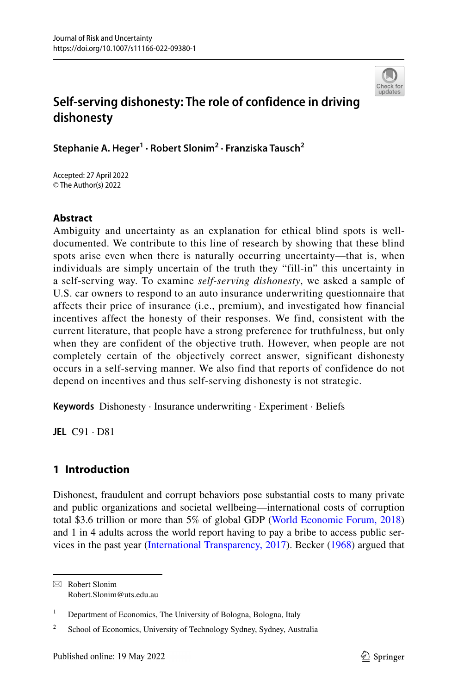

# **Self‑serving dishonesty: The role of confidence in driving dishonesty**

**Stephanie A. Heger1 · Robert Slonim2 · Franziska Tausch2**

Accepted: 27 April 2022 © The Author(s) 2022

## **Abstract**

Ambiguity and uncertainty as an explanation for ethical blind spots is welldocumented. We contribute to this line of research by showing that these blind spots arise even when there is naturally occurring uncertainty—that is, when individuals are simply uncertain of the truth they "fill-in" this uncertainty in a self-serving way. To examine *self-serving dishonesty*, we asked a sample of U.S. car owners to respond to an auto insurance underwriting questionnaire that affects their price of insurance (i.e., premium), and investigated how financial incentives affect the honesty of their responses. We find, consistent with the current literature, that people have a strong preference for truthfulness, but only when they are confident of the objective truth. However, when people are not completely certain of the objectively correct answer, significant dishonesty occurs in a self-serving manner. We also find that reports of confidence do not depend on incentives and thus self-serving dishonesty is not strategic.

**Keywords** Dishonesty · Insurance underwriting · Experiment · Beliefs

**JEL** C91 · D81

# **1 Introduction**

Dishonest, fraudulent and corrupt behaviors pose substantial costs to many private and public organizations and societal wellbeing—international costs of corruption total \$3.6 trillion or more than 5% of global GDP ([World Economic Forum, 2018](https://www.weforum.org/agenda/2018/12/the-global-economy-loses-3-6-trillion-to-corruption-each-year-says-u-n)) and 1 in 4 adults across the world report having to pay a bribe to access public services in the past year ([International Transparency, 2017\)](https://www.transparency.org/en/news/global-corruption-barometer-citizens-voices-from-around-the-world). Becker [\(1968](#page-14-0)) argued that

 $\boxtimes$  Robert Slonim Robert.Slonim@uts.edu.au

<sup>&</sup>lt;sup>1</sup> Department of Economics, The University of Bologna, Bologna, Italy

<sup>&</sup>lt;sup>2</sup> School of Economics, University of Technology Sydney, Sydney, Australia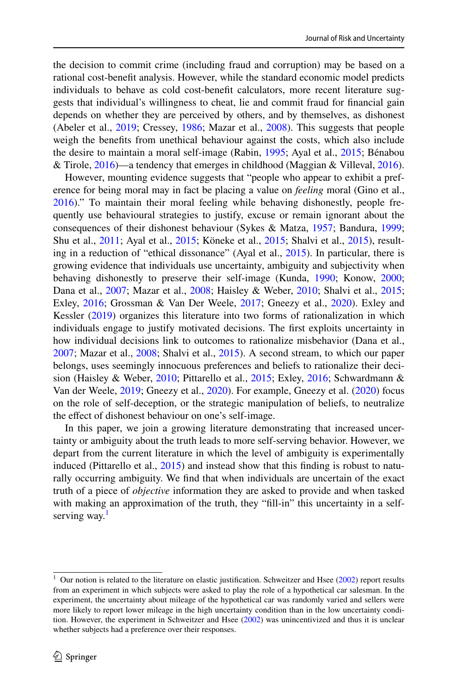the decision to commit crime (including fraud and corruption) may be based on a rational cost-beneft analysis. However, while the standard economic model predicts individuals to behave as cold cost-beneft calculators, more recent literature suggests that individual's willingness to cheat, lie and commit fraud for fnancial gain depends on whether they are perceived by others, and by themselves, as dishonest (Abeler et al., [2019](#page-14-1); Cressey, [1986](#page-14-2); Mazar et al., [2008\)](#page-15-0). This suggests that people weigh the benefts from unethical behaviour against the costs, which also include the desire to maintain a moral self-image (Rabin, [1995](#page-15-1); Ayal et al., [2015;](#page-14-3) Bénabou & Tirole, [2016](#page-14-4))—a tendency that emerges in childhood (Maggian & Villeval, [2016\)](#page-14-5).

However, mounting evidence suggests that "people who appear to exhibit a preference for being moral may in fact be placing a value on *feeling* moral (Gino et al., [2016](#page-14-6))." To maintain their moral feeling while behaving dishonestly, people frequently use behavioural strategies to justify, excuse or remain ignorant about the consequences of their dishonest behaviour (Sykes & Matza, [1957;](#page-15-2) Bandura, [1999;](#page-14-7) Shu et al., [2011](#page-15-3); Ayal et al., [2015](#page-14-3); Köneke et al., [2015;](#page-14-8) Shalvi et al., [2015\)](#page-15-4), resulting in a reduction of "ethical dissonance" (Ayal et al., [2015](#page-14-3)). In particular, there is growing evidence that individuals use uncertainty, ambiguity and subjectivity when behaving dishonestly to preserve their self-image (Kunda, [1990;](#page-14-9) Konow, [2000;](#page-14-10) Dana et al., [2007](#page-14-11); Mazar et al., [2008](#page-15-0); Haisley & Weber, [2010;](#page-14-12) Shalvi et al., [2015;](#page-15-4) Exley, [2016;](#page-14-13) Grossman & Van Der Weele, [2017;](#page-14-14) Gneezy et al., [2020\)](#page-14-15). Exley and Kessler ([2019\)](#page-14-16) organizes this literature into two forms of rationalization in which individuals engage to justify motivated decisions. The frst exploits uncertainty in how individual decisions link to outcomes to rationalize misbehavior (Dana et al., [2007](#page-14-11); Mazar et al., [2008;](#page-15-0) Shalvi et al., [2015](#page-15-4)). A second stream, to which our paper belongs, uses seemingly innocuous preferences and beliefs to rationalize their decision (Haisley & Weber, [2010;](#page-14-12) Pittarello et al., [2015;](#page-15-5) Exley, [2016;](#page-14-13) Schwardmann & Van der Weele, [2019](#page-15-6); Gneezy et al., [2020\)](#page-14-15). For example, Gneezy et al. [\(2020](#page-14-15)) focus on the role of self-deception, or the strategic manipulation of beliefs, to neutralize the effect of dishonest behaviour on one's self-image.

In this paper, we join a growing literature demonstrating that increased uncertainty or ambiguity about the truth leads to more self-serving behavior. However, we depart from the current literature in which the level of ambiguity is experimentally induced (Pittarello et al., [2015\)](#page-15-5) and instead show that this finding is robust to naturally occurring ambiguity. We fnd that when individuals are uncertain of the exact truth of a piece of *objective* information they are asked to provide and when tasked with making an approximation of the truth, they "fill-in" this uncertainty in a self-serving way.<sup>[1](#page-1-0)</sup>

<span id="page-1-0"></span> $1$  Our notion is related to the literature on elastic justification. Schweitzer and Hsee [\(2002](#page-15-7)) report results from an experiment in which subjects were asked to play the role of a hypothetical car salesman. In the experiment, the uncertainty about mileage of the hypothetical car was randomly varied and sellers were more likely to report lower mileage in the high uncertainty condition than in the low uncertainty condition. However, the experiment in Schweitzer and Hsee [\(2002](#page-15-7)) was unincentivized and thus it is unclear whether subjects had a preference over their responses.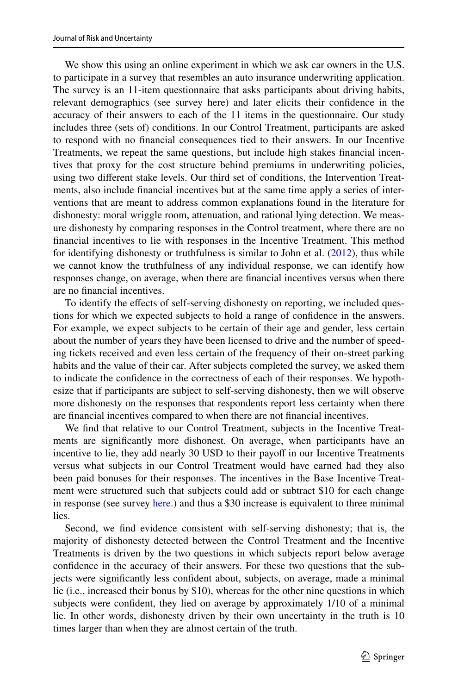We show this using an online experiment in which we ask car owners in the U.S. to participate in a survey that resembles an auto insurance underwriting application. The survey is an 11-item questionnaire that asks participants about driving habits, relevant demographics (see survey here) and later elicits their confdence in the accuracy of their answers to each of the 11 items in the questionnaire. Our study includes three (sets of) conditions. In our Control Treatment, participants are asked to respond with no fnancial consequences tied to their answers. In our Incentive Treatments, we repeat the same questions, but include high stakes fnancial incentives that proxy for the cost structure behind premiums in underwriting policies, using two diferent stake levels. Our third set of conditions, the Intervention Treatments, also include fnancial incentives but at the same time apply a series of interventions that are meant to address common explanations found in the literature for dishonesty: moral wriggle room, attenuation, and rational lying detection. We measure dishonesty by comparing responses in the Control treatment, where there are no fnancial incentives to lie with responses in the Incentive Treatment. This method for identifying dishonesty or truthfulness is similar to John et al. ([2012\)](#page-14-17), thus while we cannot know the truthfulness of any individual response, we can identify how responses change, on average, when there are fnancial incentives versus when there are no fnancial incentives.

To identify the efects of self-serving dishonesty on reporting, we included questions for which we expected subjects to hold a range of confdence in the answers. For example, we expect subjects to be certain of their age and gender, less certain about the number of years they have been licensed to drive and the number of speeding tickets received and even less certain of the frequency of their on-street parking habits and the value of their car. After subjects completed the survey, we asked them to indicate the confdence in the correctness of each of their responses. We hypothesize that if participants are subject to self-serving dishonesty, then we will observe more dishonesty on the responses that respondents report less certainty when there are fnancial incentives compared to when there are not fnancial incentives.

We fnd that relative to our Control Treatment, subjects in the Incentive Treatments are signifcantly more dishonest. On average, when participants have an incentive to lie, they add nearly 30 USD to their payof in our Incentive Treatments versus what subjects in our Control Treatment would have earned had they also been paid bonuses for their responses. The incentives in the Base Incentive Treatment were structured such that subjects could add or subtract \$10 for each change in response (see survey [here.](https://www.dropbox.com/s/03wyoo4vsqrxpxu/Instructions.pdf?dl=0)) and thus a \$30 increase is equivalent to three minimal lies.

Second, we fnd evidence consistent with self-serving dishonesty; that is, the majority of dishonesty detected between the Control Treatment and the Incentive Treatments is driven by the two questions in which subjects report below average confdence in the accuracy of their answers. For these two questions that the subjects were signifcantly less confdent about, subjects, on average, made a minimal lie (i.e., increased their bonus by \$10), whereas for the other nine questions in which subjects were confdent, they lied on average by approximately 1/10 of a minimal lie. In other words, dishonesty driven by their own uncertainty in the truth is 10 times larger than when they are almost certain of the truth.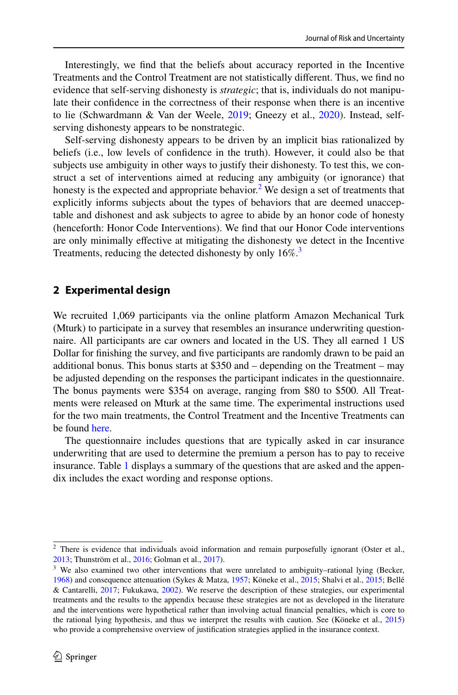Interestingly, we fnd that the beliefs about accuracy reported in the Incentive Treatments and the Control Treatment are not statistically diferent. Thus, we fnd no evidence that self-serving dishonesty is *strategic*; that is, individuals do not manipulate their confdence in the correctness of their response when there is an incentive to lie (Schwardmann & Van der Weele, [2019;](#page-15-6) Gneezy et al., [2020](#page-14-15)). Instead, selfserving dishonesty appears to be nonstrategic.

Self-serving dishonesty appears to be driven by an implicit bias rationalized by beliefs (i.e., low levels of confdence in the truth). However, it could also be that subjects use ambiguity in other ways to justify their dishonesty. To test this, we construct a set of interventions aimed at reducing any ambiguity (or ignorance) that honesty is the expected and appropriate behavior.<sup>[2](#page-3-0)</sup> We design a set of treatments that explicitly informs subjects about the types of behaviors that are deemed unacceptable and dishonest and ask subjects to agree to abide by an honor code of honesty (henceforth: Honor Code Interventions). We fnd that our Honor Code interventions are only minimally efective at mitigating the dishonesty we detect in the Incentive Treatments, reducing the detected dishonesty by only 16%.<sup>3</sup>

## **2 Experimental design**

We recruited 1,069 participants via the online platform Amazon Mechanical Turk (Mturk) to participate in a survey that resembles an insurance underwriting questionnaire. All participants are car owners and located in the US. They all earned 1 US Dollar for fnishing the survey, and fve participants are randomly drawn to be paid an additional bonus. This bonus starts at \$350 and – depending on the Treatment – may be adjusted depending on the responses the participant indicates in the questionnaire. The bonus payments were \$354 on average, ranging from \$80 to \$500. All Treatments were released on Mturk at the same time. The experimental instructions used for the two main treatments, the Control Treatment and the Incentive Treatments can be found [here](https://www.dropbox.com/s/03wyoo4vsqrxpxu/Instructions.pdf?dl=0).

The questionnaire includes questions that are typically asked in car insurance underwriting that are used to determine the premium a person has to pay to receive insurance. Table [1](#page-4-0) displays a summary of the questions that are asked and the appendix includes the exact wording and response options.

<span id="page-3-0"></span><sup>&</sup>lt;sup>2</sup> There is evidence that individuals avoid information and remain purposefully ignorant (Oster et al., [2013](#page-15-8); Thunström et al., [2016;](#page-15-9) Golman et al., [2017](#page-14-18)).

<span id="page-3-1"></span><sup>&</sup>lt;sup>3</sup> We also examined two other interventions that were unrelated to ambiguity–rational lying (Becker, [1968](#page-14-0)) and consequence attenuation (Sykes & Matza, [1957](#page-15-2); Köneke et al., [2015;](#page-14-8) Shalvi et al., [2015](#page-15-4); Bellé & Cantarelli, [2017](#page-14-19); Fukukawa, [2002](#page-14-20)). We reserve the description of these strategies, our experimental treatments and the results to the appendix because these strategies are not as developed in the literature and the interventions were hypothetical rather than involving actual fnancial penalties, which is core to the rational lying hypothesis, and thus we interpret the results with caution. See (Köneke et al., [2015\)](#page-14-8) who provide a comprehensive overview of justifcation strategies applied in the insurance context.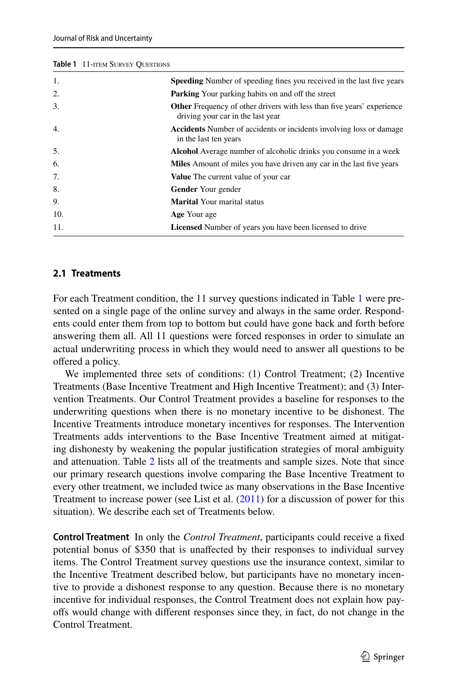<span id="page-4-0"></span>**Table 1 11 mm s Survey Questions** 

| <b>IQUIE I</b> II-HEM SURVEY OUESHONS |                                                                                                                    |
|---------------------------------------|--------------------------------------------------------------------------------------------------------------------|
| 1.                                    | <b>Speeding</b> Number of speeding fines you received in the last five years                                       |
| 2.                                    | <b>Parking</b> Your parking habits on and off the street                                                           |
| 3.                                    | <b>Other</b> Frequency of other drivers with less than five years' experience<br>driving your car in the last year |
| 4.                                    | <b>Accidents</b> Number of accidents or incidents involving loss or damage<br>in the last ten years                |
| 5.                                    | <b>Alcohol</b> Average number of alcoholic drinks you consume in a week                                            |
| 6.                                    | <b>Miles</b> Amount of miles you have driven any car in the last five years                                        |
| 7.                                    | <b>Value</b> The current value of your car                                                                         |
| 8.                                    | <b>Gender</b> Your gender                                                                                          |
| 9.                                    | <b>Marital</b> Your marital status                                                                                 |
| 10.                                   | Age Your age                                                                                                       |
| 11.                                   | <b>Licensed</b> Number of years you have been licensed to drive                                                    |

# **2.1 Treatments**

For each Treatment condition, the 11 survey questions indicated in Table [1](#page-4-0) were presented on a single page of the online survey and always in the same order. Respondents could enter them from top to bottom but could have gone back and forth before answering them all. All 11 questions were forced responses in order to simulate an actual underwriting process in which they would need to answer all questions to be ofered a policy.

We implemented three sets of conditions: (1) Control Treatment; (2) Incentive Treatments (Base Incentive Treatment and High Incentive Treatment); and (3) Intervention Treatments. Our Control Treatment provides a baseline for responses to the underwriting questions when there is no monetary incentive to be dishonest. The Incentive Treatments introduce monetary incentives for responses. The Intervention Treatments adds interventions to the Base Incentive Treatment aimed at mitigating dishonesty by weakening the popular justifcation strategies of moral ambiguity and attenuation. Table [2](#page-5-0) lists all of the treatments and sample sizes. Note that since our primary research questions involve comparing the Base Incentive Treatment to every other treatment, we included twice as many observations in the Base Incentive Treatment to increase power (see List et al.  $(2011)$  $(2011)$  for a discussion of power for this situation). We describe each set of Treatments below.

<span id="page-4-1"></span>**Control Treatment** In only the *Control Treatment*, participants could receive a fxed potential bonus of \$350 that is unafected by their responses to individual survey items. The Control Treatment survey questions use the insurance context, similar to the Incentive Treatment described below, but participants have no monetary incentive to provide a dishonest response to any question. Because there is no monetary incentive for individual responses, the Control Treatment does not explain how payofs would change with diferent responses since they, in fact, do not change in the Control Treatment.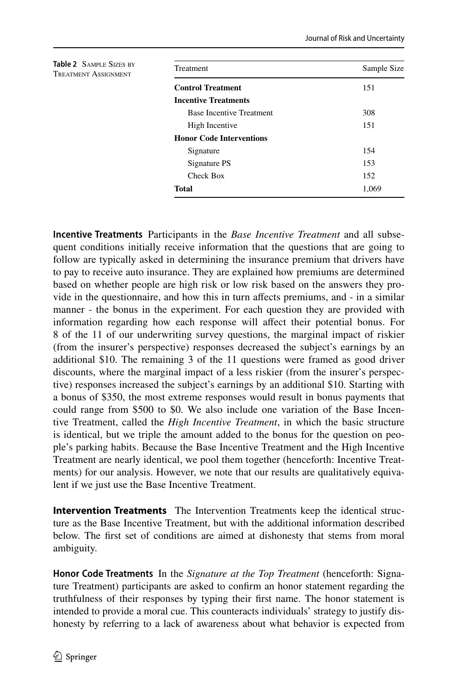<span id="page-5-0"></span>

| <b>Table 2</b> SAMPLE SIZES BY<br><b>TREATMENT ASSIGNMENT</b> | <b>Treatment</b>                | Sample Size |
|---------------------------------------------------------------|---------------------------------|-------------|
|                                                               | <b>Control Treatment</b>        | 151         |
|                                                               | <b>Incentive Treatments</b>     |             |
|                                                               | <b>Base Incentive Treatment</b> | 308         |
|                                                               | High Incentive                  | 151         |
|                                                               | <b>Honor Code Interventions</b> |             |
|                                                               | Signature                       | 154         |
|                                                               | Signature PS                    | 153         |
|                                                               | Check Box                       | 152         |
|                                                               | <b>Total</b>                    | 1,069       |
|                                                               |                                 |             |

<span id="page-5-1"></span>**Incentive Treatments** Participants in the *Base Incentive Treatment* and all subsequent conditions initially receive information that the questions that are going to follow are typically asked in determining the insurance premium that drivers have to pay to receive auto insurance. They are explained how premiums are determined based on whether people are high risk or low risk based on the answers they provide in the questionnaire, and how this in turn afects premiums, and - in a similar manner - the bonus in the experiment. For each question they are provided with information regarding how each response will affect their potential bonus. For 8 of the 11 of our underwriting survey questions, the marginal impact of riskier (from the insurer's perspective) responses decreased the subject's earnings by an additional \$10. The remaining 3 of the 11 questions were framed as good driver discounts, where the marginal impact of a less riskier (from the insurer's perspective) responses increased the subject's earnings by an additional \$10. Starting with a bonus of \$350, the most extreme responses would result in bonus payments that could range from \$500 to \$0. We also include one variation of the Base Incentive Treatment, called the *High Incentive Treatment*, in which the basic structure is identical, but we triple the amount added to the bonus for the question on people's parking habits. Because the Base Incentive Treatment and the High Incentive Treatment are nearly identical, we pool them together (henceforth: Incentive Treatments) for our analysis. However, we note that our results are qualitatively equivalent if we just use the Base Incentive Treatment.

**Intervention Treatments** The Intervention Treatments keep the identical structure as the Base Incentive Treatment, but with the additional information described below. The frst set of conditions are aimed at dishonesty that stems from moral ambiguity.

**Honor Code Treatments** In the *Signature at the Top Treatment* (henceforth: Signature Treatment) participants are asked to confrm an honor statement regarding the truthfulness of their responses by typing their frst name. The honor statement is intended to provide a moral cue. This counteracts individuals' strategy to justify dishonesty by referring to a lack of awareness about what behavior is expected from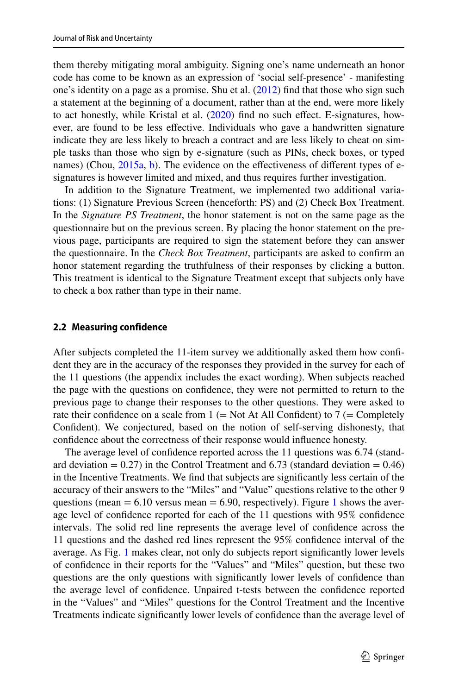them thereby mitigating moral ambiguity. Signing one's name underneath an honor code has come to be known as an expression of 'social self-presence' - manifesting one's identity on a page as a promise. Shu et al. [\(2012](#page-15-10)) fnd that those who sign such a statement at the beginning of a document, rather than at the end, were more likely to act honestly, while Kristal et al. ([2020\)](#page-14-22) fnd no such efect. E-signatures, however, are found to be less efective. Individuals who gave a handwritten signature indicate they are less likely to breach a contract and are less likely to cheat on simple tasks than those who sign by e-signature (such as PINs, check boxes, or typed names) (Chou, [2015a,](#page-14-23) [b](#page-14-24)). The evidence on the effectiveness of different types of esignatures is however limited and mixed, and thus requires further investigation.

In addition to the Signature Treatment, we implemented two additional variations: (1) Signature Previous Screen (henceforth: PS) and (2) Check Box Treatment. In the *Signature PS Treatment*, the honor statement is not on the same page as the questionnaire but on the previous screen. By placing the honor statement on the previous page, participants are required to sign the statement before they can answer the questionnaire. In the *Check Box Treatment*, participants are asked to confrm an honor statement regarding the truthfulness of their responses by clicking a button. This treatment is identical to the Signature Treatment except that subjects only have to check a box rather than type in their name.

#### **2.2 Measuring confidence**

After subjects completed the 11-item survey we additionally asked them how confdent they are in the accuracy of the responses they provided in the survey for each of the 11 questions (the appendix includes the exact wording). When subjects reached the page with the questions on confdence, they were not permitted to return to the previous page to change their responses to the other questions. They were asked to rate their confidence on a scale from  $1 (= Not At All Conflict)$  to  $7 (= Completely$ Confdent). We conjectured, based on the notion of self-serving dishonesty, that confdence about the correctness of their response would infuence honesty.

The average level of confdence reported across the 11 questions was 6.74 (standard deviation  $= 0.27$ ) in the Control Treatment and 6.73 (standard deviation  $= 0.46$ ) in the Incentive Treatments. We fnd that subjects are signifcantly less certain of the accuracy of their answers to the "Miles" and "Value" questions relative to the other 9 questions (mean  $= 6.10$  versus mean  $= 6.90$ , respectively). Figure [1](#page-7-0) shows the average level of confdence reported for each of the 11 questions with 95% confdence intervals. The solid red line represents the average level of confdence across the 11 questions and the dashed red lines represent the 95% confdence interval of the average. As Fig. [1](#page-7-0) makes clear, not only do subjects report signifcantly lower levels of confdence in their reports for the "Values" and "Miles" question, but these two questions are the only questions with signifcantly lower levels of confdence than the average level of confdence. Unpaired t-tests between the confdence reported in the "Values" and "Miles" questions for the Control Treatment and the Incentive Treatments indicate signifcantly lower levels of confdence than the average level of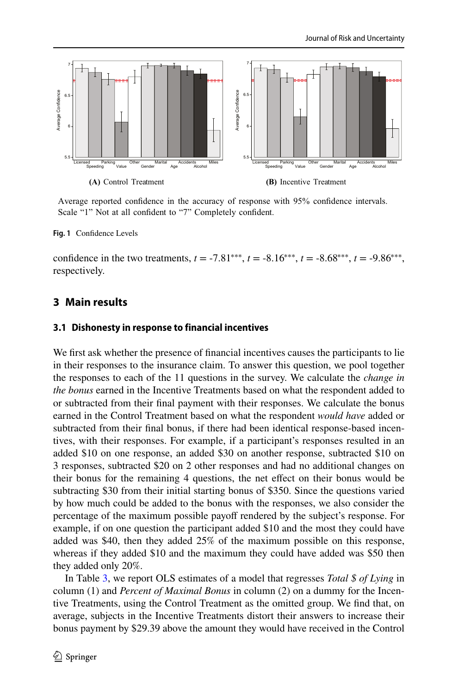

Average reported confidence in the accuracy of response with 95% confidence intervals. Scale "1" Not at all confident to "7" Completely confident.

<span id="page-7-0"></span>**Fig. 1** Confdence Levels

confidence in the two treatments,  $t = -7.81^{***}$ ,  $t = -8.16^{***}$ ,  $t = -8.68^{***}$ ,  $t = -9.86^{***}$ , respectively.

## **3 Main results**

#### **3.1 Dishonesty in response to financial incentives**

We first ask whether the presence of financial incentives causes the participants to lie in their responses to the insurance claim. To answer this question, we pool together the responses to each of the 11 questions in the survey. We calculate the *change in the bonus* earned in the Incentive Treatments based on what the respondent added to or subtracted from their fnal payment with their responses. We calculate the bonus earned in the Control Treatment based on what the respondent *would have* added or subtracted from their fnal bonus, if there had been identical response-based incentives, with their responses. For example, if a participant's responses resulted in an added \$10 on one response, an added \$30 on another response, subtracted \$10 on 3 responses, subtracted \$20 on 2 other responses and had no additional changes on their bonus for the remaining 4 questions, the net efect on their bonus would be subtracting \$30 from their initial starting bonus of \$350. Since the questions varied by how much could be added to the bonus with the responses, we also consider the percentage of the maximum possible payoff rendered by the subject's response. For example, if on one question the participant added \$10 and the most they could have added was \$40, then they added 25% of the maximum possible on this response, whereas if they added \$10 and the maximum they could have added was \$50 then they added only 20%.

In Table [3](#page-8-0), we report OLS estimates of a model that regresses *Total \$ of Lying* in column (1) and *Percent of Maximal Bonus* in column (2) on a dummy for the Incentive Treatments, using the Control Treatment as the omitted group. We fnd that, on average, subjects in the Incentive Treatments distort their answers to increase their bonus payment by \$29.39 above the amount they would have received in the Control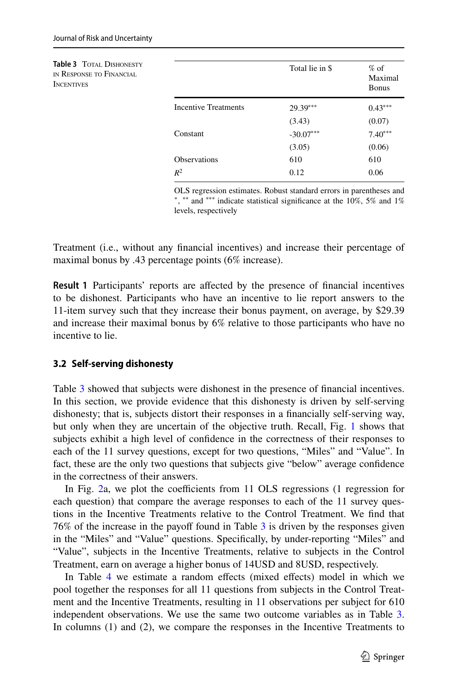<span id="page-8-0"></span>

| <b>Table 3 TOTAL DISHONESTY</b><br>IN RESPONSE TO FINANCIAL<br><b>INCENTIVES</b> |                             | Total lie in \$ | $%$ of<br>Maximal<br><b>Bonus</b> |
|----------------------------------------------------------------------------------|-----------------------------|-----------------|-----------------------------------|
|                                                                                  | <b>Incentive Treatments</b> | $29.39***$      | $0.43***$                         |
|                                                                                  |                             | (3.43)          | (0.07)                            |
|                                                                                  | Constant                    | $-30.07***$     | $7.40***$                         |
|                                                                                  |                             | (3.05)          | (0.06)                            |
|                                                                                  | <b>Observations</b>         | 610             | 610                               |
|                                                                                  | $R^2$                       | 0.12            | 0.06                              |

OLS regression estimates. Robust standard errors in parentheses and ∗ , ∗∗ and ∗∗∗ indicate statistical signifcance at the 10%, 5% and 1% levels, respectively

Treatment (i.e., without any fnancial incentives) and increase their percentage of maximal bonus by .43 percentage points (6% increase).

**Result 1** Participants' reports are afected by the presence of fnancial incentives to be dishonest. Participants who have an incentive to lie report answers to the 11-item survey such that they increase their bonus payment, on average, by \$29.39 and increase their maximal bonus by 6% relative to those participants who have no incentive to lie.

## **3.2 Self‑serving dishonesty**

Table [3](#page-8-0) showed that subjects were dishonest in the presence of fnancial incentives. In this section, we provide evidence that this dishonesty is driven by self-serving dishonesty; that is, subjects distort their responses in a fnancially self-serving way, but only when they are uncertain of the objective truth. Recall, Fig. [1](#page-7-0) shows that subjects exhibit a high level of confdence in the correctness of their responses to each of the 11 survey questions, except for two questions, "Miles" and "Value". In fact, these are the only two questions that subjects give "below" average confdence in the correctness of their answers.

In Fig. [2](#page-9-0)a, we plot the coefficients from  $11$  OLS regressions (1 regression for each question) that compare the average responses to each of the 11 survey questions in the Incentive Treatments relative to the Control Treatment. We fnd that  $76\%$  of the increase in the payoff found in Table  $3$  is driven by the responses given in the "Miles" and "Value" questions. Specifcally, by under-reporting "Miles" and "Value", subjects in the Incentive Treatments, relative to subjects in the Control Treatment, earn on average a higher bonus of 14USD and 8USD, respectively.

In Table [4](#page-10-0) we estimate a random effects (mixed effects) model in which we pool together the responses for all 11 questions from subjects in the Control Treatment and the Incentive Treatments, resulting in 11 observations per subject for 610 independent observations. We use the same two outcome variables as in Table [3.](#page-8-0) In columns (1) and (2), we compare the responses in the Incentive Treatments to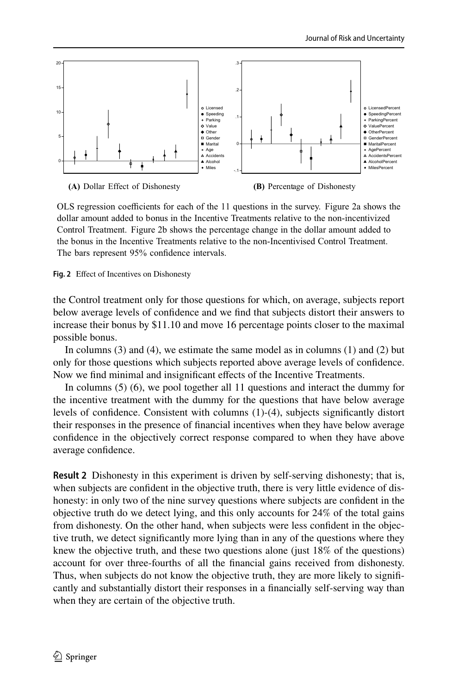

OLS regression coefficients for each of the 11 questions in the survey. Figure 2a shows the dollar amount added to bonus in the Incentive Treatments relative to the non-incentivized Control Treatment. Figure 2b shows the percentage change in the dollar amount added to the bonus in the Incentive Treatments relative to the non-Incentivised Control Treatment. The bars represent 95% confidence intervals.

<span id="page-9-0"></span>**Fig. 2** Efect of Incentives on Dishonesty

the Control treatment only for those questions for which, on average, subjects report below average levels of confdence and we fnd that subjects distort their answers to increase their bonus by \$11.10 and move 16 percentage points closer to the maximal possible bonus.

In columns (3) and (4), we estimate the same model as in columns (1) and (2) but only for those questions which subjects reported above average levels of confdence. Now we fnd minimal and insignifcant efects of the Incentive Treatments.

In columns (5) (6), we pool together all 11 questions and interact the dummy for the incentive treatment with the dummy for the questions that have below average levels of confdence. Consistent with columns (1)-(4), subjects signifcantly distort their responses in the presence of fnancial incentives when they have below average confdence in the objectively correct response compared to when they have above average confidence.

**Result 2** Dishonesty in this experiment is driven by self-serving dishonesty; that is, when subjects are confdent in the objective truth, there is very little evidence of dishonesty: in only two of the nine survey questions where subjects are confdent in the objective truth do we detect lying, and this only accounts for 24% of the total gains from dishonesty. On the other hand, when subjects were less confdent in the objective truth, we detect signifcantly more lying than in any of the questions where they knew the objective truth, and these two questions alone (just 18% of the questions) account for over three-fourths of all the fnancial gains received from dishonesty. Thus, when subjects do not know the objective truth, they are more likely to signifcantly and substantially distort their responses in a fnancially self-serving way than when they are certain of the objective truth.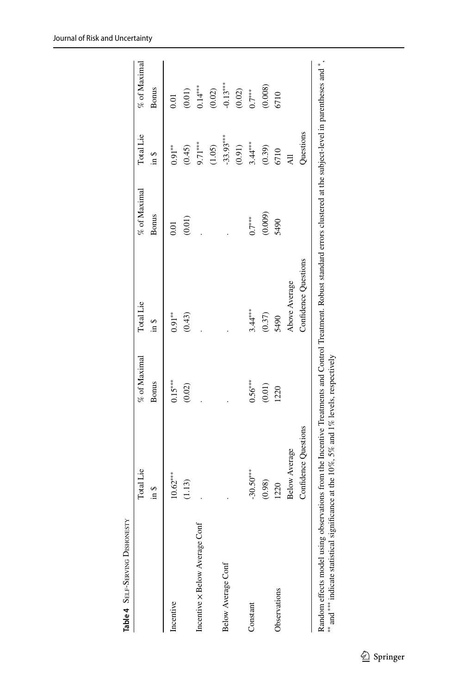<span id="page-10-0"></span>

|                                | Total Lie            | % of Maximal | Total Lie            | % of Maximal | Total Lie        | % of Maximal |
|--------------------------------|----------------------|--------------|----------------------|--------------|------------------|--------------|
|                                | \$щ                  | <b>Bonus</b> | in \$                | <b>Bonus</b> | $\frac{3}{2}$ ni | <b>Bonus</b> |
| Incentive                      | $10.62***$           | $0.15***$    | $0.91***$            | 0.01         | $0.91***$        | 0.01         |
|                                | (1.13)               | $(0.02)$     | (0.43)               | (0.01)       | (0.45)           | $(0.01)$     |
| Incentive x Below Average Cont |                      |              |                      |              | $9.71***$        | $0.14***$    |
|                                |                      |              |                      |              | (1.05)           | $(0.02)$     |
| Below Average Conf             |                      |              |                      |              | $-33.93***$      | $-0.13***$   |
|                                |                      |              |                      |              | (0.91)           | $(0.02)$     |
| Constant                       | $-30.50***$          | $0.56***$    | $3.44***$            | $0.7***$     | $3.44***$        | $0.7***$     |
|                                | (0.98)               | $(0.01)$     | (0.37)               | (0.009)      | (0.39)           | (0.008)      |
| Observations                   | 1220                 | 1220         | 5490                 | 5490         | 6710             | 6710         |
|                                | <b>Below Average</b> |              | Above Average        |              | $\overline{AB}$  |              |
|                                | Confidence Questions |              | Confidence Questions |              | Questions        |              |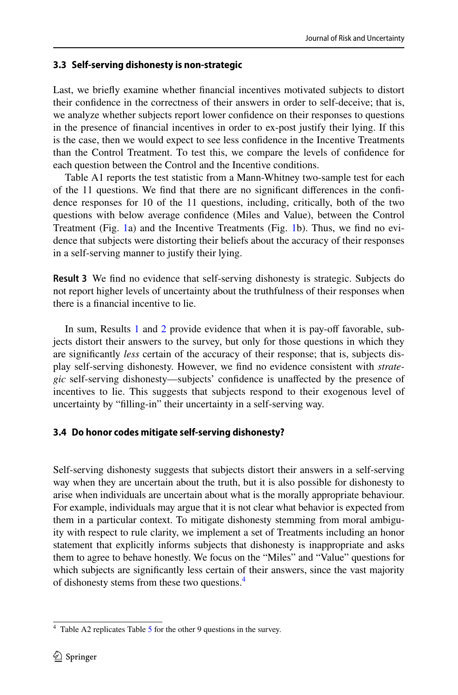## **3.3 Self‑serving dishonesty is non‑strategic**

Last, we briefy examine whether fnancial incentives motivated subjects to distort their confdence in the correctness of their answers in order to self-deceive; that is, we analyze whether subjects report lower confdence on their responses to questions in the presence of fnancial incentives in order to ex-post justify their lying. If this is the case, then we would expect to see less confdence in the Incentive Treatments than the Control Treatment. To test this, we compare the levels of confdence for each question between the Control and the Incentive conditions.

Table A1 reports the test statistic from a Mann-Whitney two-sample test for each of the 11 questions. We fnd that there are no signifcant diferences in the confdence responses for 10 of the 11 questions, including, critically, both of the two questions with below average confdence (Miles and Value), between the Control Treatment (Fig. [1](#page-7-0)a) and the Incentive Treatments (Fig. [1b](#page-7-0)). Thus, we fnd no evidence that subjects were distorting their beliefs about the accuracy of their responses in a self-serving manner to justify their lying.

**Result 3** We fnd no evidence that self-serving dishonesty is strategic. Subjects do not report higher levels of uncertainty about the truthfulness of their responses when there is a fnancial incentive to lie.

In sum, Results [1](#page-4-1) and [2](#page-5-1) provide evidence that when it is pay-off favorable, subjects distort their answers to the survey, but only for those questions in which they are signifcantly *less* certain of the accuracy of their response; that is, subjects display self-serving dishonesty. However, we fnd no evidence consistent with *strategic* self-serving dishonesty—subjects' confdence is unafected by the presence of incentives to lie. This suggests that subjects respond to their exogenous level of uncertainty by "flling-in" their uncertainty in a self-serving way.

## **3.4 Do honor codes mitigate self‑serving dishonesty?**

Self-serving dishonesty suggests that subjects distort their answers in a self-serving way when they are uncertain about the truth, but it is also possible for dishonesty to arise when individuals are uncertain about what is the morally appropriate behaviour. For example, individuals may argue that it is not clear what behavior is expected from them in a particular context. To mitigate dishonesty stemming from moral ambiguity with respect to rule clarity, we implement a set of Treatments including an honor statement that explicitly informs subjects that dishonesty is inappropriate and asks them to agree to behave honestly. We focus on the "Miles" and "Value" questions for which subjects are significantly less certain of their answers, since the vast majority of dishonesty stems from these two questions.<sup>4</sup>

<span id="page-11-0"></span> $4$  Table A2 replicates Table [5](#page-12-0) for the other 9 questions in the survey.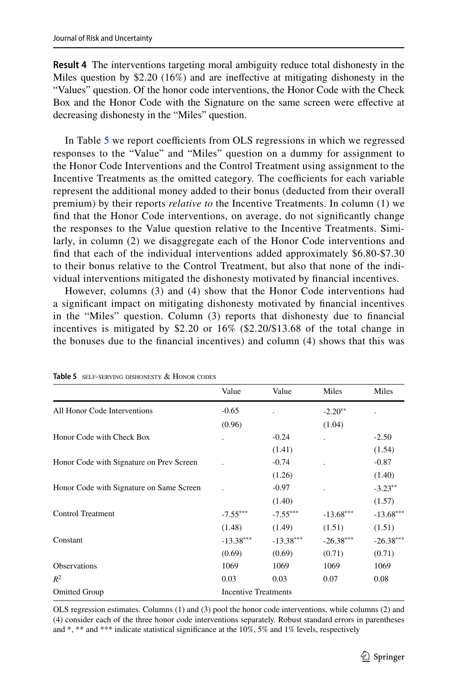**Result 4** The interventions targeting moral ambiguity reduce total dishonesty in the Miles question by \$2.20 (16%) and are inefective at mitigating dishonesty in the "Values" question. Of the honor code interventions, the Honor Code with the Check Box and the Honor Code with the Signature on the same screen were efective at decreasing dishonesty in the "Miles" question.

In Table [5](#page-12-0) we report coefficients from OLS regressions in which we regressed responses to the "Value" and "Miles" question on a dummy for assignment to the Honor Code Interventions and the Control Treatment using assignment to the Incentive Treatments as the omitted category. The coefficients for each variable represent the additional money added to their bonus (deducted from their overall premium) by their reports *relative to* the Incentive Treatments. In column (1) we fnd that the Honor Code interventions, on average, do not signifcantly change the responses to the Value question relative to the Incentive Treatments. Similarly, in column (2) we disaggregate each of the Honor Code interventions and fnd that each of the individual interventions added approximately \$6.80-\$7.30 to their bonus relative to the Control Treatment, but also that none of the individual interventions mitigated the dishonesty motivated by fnancial incentives.

However, columns (3) and (4) show that the Honor Code interventions had a signifcant impact on mitigating dishonesty motivated by fnancial incentives in the "Miles" question. Column (3) reports that dishonesty due to fnancial incentives is mitigated by \$2.20 or 16% (\$2.20/\$13.68 of the total change in the bonuses due to the fnancial incentives) and column (4) shows that this was

|                                          | Value       | Value                       | Miles       | Miles       |
|------------------------------------------|-------------|-----------------------------|-------------|-------------|
| All Honor Code Interventions             | $-0.65$     |                             | $-2.20**$   |             |
|                                          | (0.96)      |                             | (1.04)      |             |
| Honor Code with Check Box                |             | $-0.24$                     |             | $-2.50$     |
|                                          |             | (1.41)                      |             | (1.54)      |
| Honor Code with Signature on Prev Screen |             | $-0.74$                     |             | $-0.87$     |
|                                          |             | (1.26)                      |             | (1.40)      |
| Honor Code with Signature on Same Screen |             | $-0.97$                     |             | $-3.23**$   |
|                                          |             | (1.40)                      |             | (1.57)      |
| <b>Control Treatment</b>                 | $-7.55***$  | $-7.55***$                  | $-13.68***$ | $-13.68***$ |
|                                          | (1.48)      | (1.49)                      | (1.51)      | (1.51)      |
| Constant                                 | $-13.38***$ | $-13.38***$                 | $-26.38***$ | $-26.38***$ |
|                                          | (0.69)      | (0.69)                      | (0.71)      | (0.71)      |
| Observations                             | 1069        | 1069                        | 1069        | 1069        |
| $R^2$                                    | 0.03        | 0.03                        | 0.07        | 0.08        |
| <b>Omitted Group</b>                     |             | <b>Incentive Treatments</b> |             |             |

<span id="page-12-0"></span>**Table 5** self-serving dishonesty & Honor codes

OLS regression estimates. Columns (1) and (3) pool the honor code interventions, while columns (2) and (4) consider each of the three honor code interventions separately. Robust standard errors in parentheses and \*, \*\* and \*\*\* indicate statistical significance at the  $10\%$ , 5% and 1% levels, respectively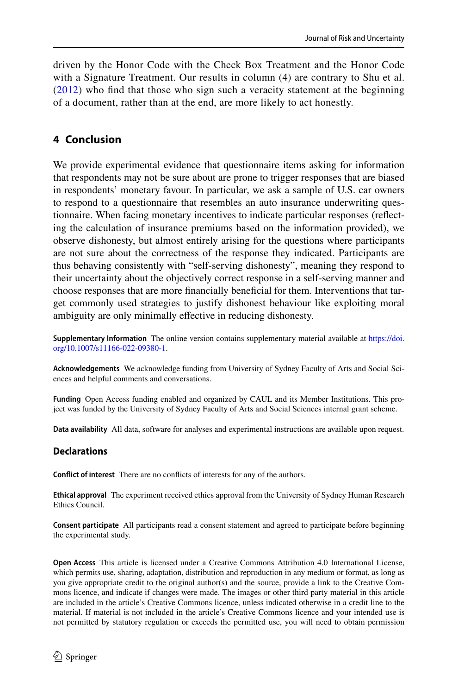driven by the Honor Code with the Check Box Treatment and the Honor Code with a Signature Treatment. Our results in column (4) are contrary to Shu et al. ([2012](#page-15-10)) who fnd that those who sign such a veracity statement at the beginning of a document, rather than at the end, are more likely to act honestly.

# **4 Conclusion**

We provide experimental evidence that questionnaire items asking for information that respondents may not be sure about are prone to trigger responses that are biased in respondents' monetary favour. In particular, we ask a sample of U.S. car owners to respond to a questionnaire that resembles an auto insurance underwriting questionnaire. When facing monetary incentives to indicate particular responses (refecting the calculation of insurance premiums based on the information provided), we observe dishonesty, but almost entirely arising for the questions where participants are not sure about the correctness of the response they indicated. Participants are thus behaving consistently with "self-serving dishonesty", meaning they respond to their uncertainty about the objectively correct response in a self-serving manner and choose responses that are more fnancially benefcial for them. Interventions that target commonly used strategies to justify dishonest behaviour like exploiting moral ambiguity are only minimally efective in reducing dishonesty.

**Supplementary Information** The online version contains supplementary material available at [https://doi.](https://doi.org/10.1007/s11166-022-09380-1) [org/10.1007/s11166-022-09380-1](https://doi.org/10.1007/s11166-022-09380-1).

**Acknowledgements** We acknowledge funding from University of Sydney Faculty of Arts and Social Sciences and helpful comments and conversations.

**Funding** Open Access funding enabled and organized by CAUL and its Member Institutions. This project was funded by the University of Sydney Faculty of Arts and Social Sciences internal grant scheme.

**Data availability** All data, software for analyses and experimental instructions are available upon request.

## **Declarations**

**Conflict of interest** There are no conficts of interests for any of the authors.

**Ethical approval** The experiment received ethics approval from the University of Sydney Human Research Ethics Council.

**Consent participate** All participants read a consent statement and agreed to participate before beginning the experimental study.

**Open Access** This article is licensed under a Creative Commons Attribution 4.0 International License, which permits use, sharing, adaptation, distribution and reproduction in any medium or format, as long as you give appropriate credit to the original author(s) and the source, provide a link to the Creative Commons licence, and indicate if changes were made. The images or other third party material in this article are included in the article's Creative Commons licence, unless indicated otherwise in a credit line to the material. If material is not included in the article's Creative Commons licence and your intended use is not permitted by statutory regulation or exceeds the permitted use, you will need to obtain permission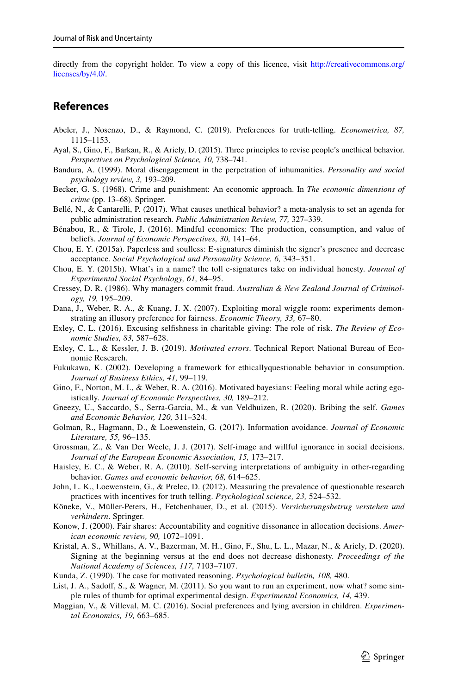directly from the copyright holder. To view a copy of this licence, visit [http://creativecommons.org/](http://creativecommons.org/licenses/by/4.0/) [licenses/by/4.0/.](http://creativecommons.org/licenses/by/4.0/)

#### **References**

- <span id="page-14-1"></span>Abeler, J., Nosenzo, D., & Raymond, C. (2019). Preferences for truth-telling. *Econometrica, 87,* 1115–1153.
- <span id="page-14-3"></span>Ayal, S., Gino, F., Barkan, R., & Ariely, D. (2015). Three principles to revise people's unethical behavior. *Perspectives on Psychological Science, 10,* 738–741.
- <span id="page-14-7"></span>Bandura, A. (1999). Moral disengagement in the perpetration of inhumanities. *Personality and social psychology review, 3,* 193–209.
- <span id="page-14-0"></span>Becker, G. S. (1968). Crime and punishment: An economic approach. In *The economic dimensions of crime* (pp. 13–68). Springer.
- <span id="page-14-19"></span>Bellé, N., & Cantarelli, P. (2017). What causes unethical behavior? a meta-analysis to set an agenda for public administration research. *Public Administration Review, 77,* 327–339.
- <span id="page-14-4"></span>Bénabou, R., & Tirole, J. (2016). Mindful economics: The production, consumption, and value of beliefs. *Journal of Economic Perspectives, 30,* 141–64.
- <span id="page-14-23"></span>Chou, E. Y. (2015a). Paperless and soulless: E-signatures diminish the signer's presence and decrease acceptance. *Social Psychological and Personality Science, 6,* 343–351.
- <span id="page-14-24"></span>Chou, E. Y. (2015b). What's in a name? the toll e-signatures take on individual honesty. *Journal of Experimental Social Psychology, 61,* 84–95.
- <span id="page-14-2"></span>Cressey, D. R. (1986). Why managers commit fraud. *Australian & New Zealand Journal of Criminology, 19,* 195–209.
- <span id="page-14-11"></span>Dana, J., Weber, R. A., & Kuang, J. X. (2007). Exploiting moral wiggle room: experiments demonstrating an illusory preference for fairness. *Economic Theory, 33,* 67–80.
- <span id="page-14-13"></span>Exley, C. L. (2016). Excusing selfshness in charitable giving: The role of risk. *The Review of Economic Studies, 83,* 587–628.
- <span id="page-14-16"></span>Exley, C. L., & Kessler, J. B. (2019). *Motivated errors*. Technical Report National Bureau of Economic Research.
- <span id="page-14-20"></span>Fukukawa, K. (2002). Developing a framework for ethicallyquestionable behavior in consumption. *Journal of Business Ethics, 41,* 99–119.
- <span id="page-14-6"></span>Gino, F., Norton, M. I., & Weber, R. A. (2016). Motivated bayesians: Feeling moral while acting egoistically. *Journal of Economic Perspectives, 30,* 189–212.
- <span id="page-14-15"></span>Gneezy, U., Saccardo, S., Serra-Garcia, M., & van Veldhuizen, R. (2020). Bribing the self. *Games and Economic Behavior, 120,* 311–324.
- <span id="page-14-18"></span>Golman, R., Hagmann, D., & Loewenstein, G. (2017). Information avoidance. *Journal of Economic Literature, 55,* 96–135.
- <span id="page-14-14"></span>Grossman, Z., & Van Der Weele, J. J. (2017). Self-image and willful ignorance in social decisions. *Journal of the European Economic Association, 15,* 173–217.
- <span id="page-14-12"></span>Haisley, E. C., & Weber, R. A. (2010). Self-serving interpretations of ambiguity in other-regarding behavior. *Games and economic behavior, 68,* 614–625.
- <span id="page-14-17"></span>John, L. K., Loewenstein, G., & Prelec, D. (2012). Measuring the prevalence of questionable research practices with incentives for truth telling. *Psychological science, 23,* 524–532.
- <span id="page-14-8"></span>Köneke, V., Müller-Peters, H., Fetchenhauer, D., et al. (2015). *Versicherungsbetrug verstehen und verhindern*. Springer.
- <span id="page-14-10"></span>Konow, J. (2000). Fair shares: Accountability and cognitive dissonance in allocation decisions. *American economic review, 90,* 1072–1091.
- <span id="page-14-22"></span>Kristal, A. S., Whillans, A. V., Bazerman, M. H., Gino, F., Shu, L. L., Mazar, N., & Ariely, D. (2020). Signing at the beginning versus at the end does not decrease dishonesty. *Proceedings of the National Academy of Sciences, 117,* 7103–7107.
- <span id="page-14-9"></span>Kunda, Z. (1990). The case for motivated reasoning. *Psychological bulletin, 108,* 480.
- <span id="page-14-21"></span>List, J. A., Sadoff, S., & Wagner, M. (2011). So you want to run an experiment, now what? some simple rules of thumb for optimal experimental design. *Experimental Economics, 14,* 439.
- <span id="page-14-5"></span>Maggian, V., & Villeval, M. C. (2016). Social preferences and lying aversion in children. *Experimental Economics, 19,* 663–685.